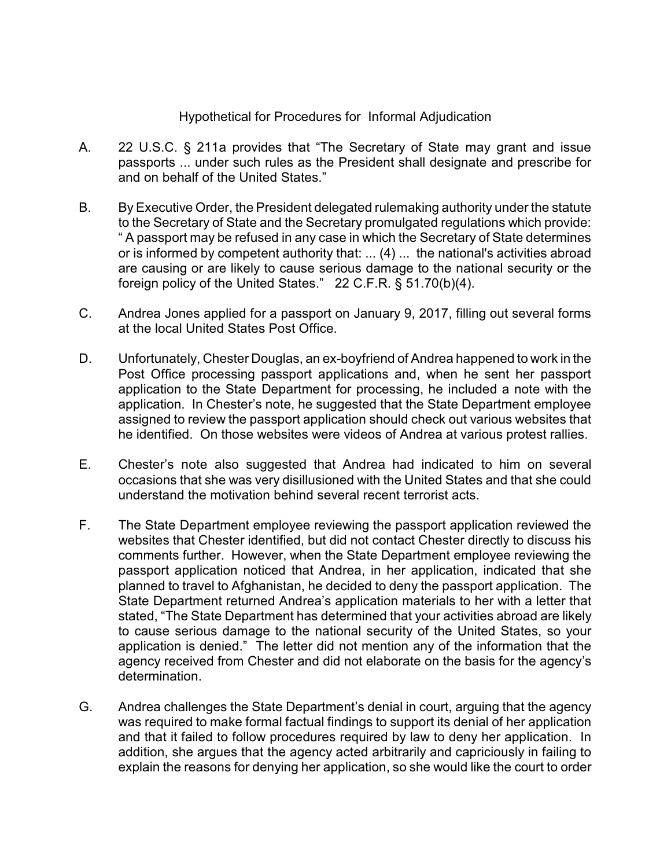## Hypothetical for Procedures for Informal Adjudication

- A. 22 U.S.C. § 211a provides that "The Secretary of State may grant and issue passports ... under such rules as the President shall designate and prescribe for and on behalf of the United States."
- B. By Executive Order, the President delegated rulemaking authority under the statute to the Secretary of State and the Secretary promulgated regulations which provide: " A passport may be refused in any case in which the Secretary of State determines or is informed by competent authority that: ... (4) ... the national's activities abroad are causing or are likely to cause serious damage to the national security or the foreign policy of the United States." 22 C.F.R. § 51.70(b)(4).
- C. Andrea Jones applied for a passport on January 9, 2017, filling out several forms at the local United States Post Office.
- D. Unfortunately, Chester Douglas, an ex-boyfriend of Andrea happened to work in the Post Office processing passport applications and, when he sent her passport application to the State Department for processing, he included a note with the application. In Chester's note, he suggested that the State Department employee assigned to review the passport application should check out various websites that he identified. On those websites were videos of Andrea at various protest rallies.
- E. Chester's note also suggested that Andrea had indicated to him on several occasions that she was very disillusioned with the United States and that she could understand the motivation behind several recent terrorist acts.
- F. The State Department employee reviewing the passport application reviewed the websites that Chester identified, but did not contact Chester directly to discuss his comments further. However, when the State Department employee reviewing the passport application noticed that Andrea, in her application, indicated that she planned to travel to Afghanistan, he decided to deny the passport application. The State Department returned Andrea's application materials to her with a letter that stated, "The State Department has determined that your activities abroad are likely to cause serious damage to the national security of the United States, so your application is denied." The letter did not mention any of the information that the agency received from Chester and did not elaborate on the basis for the agency's determination.
- G. Andrea challenges the State Department's denial in court, arguing that the agency was required to make formal factual findings to support its denial of her application and that it failed to follow procedures required by law to deny her application. In addition, she argues that the agency acted arbitrarily and capriciously in failing to explain the reasons for denying her application, so she would like the court to order